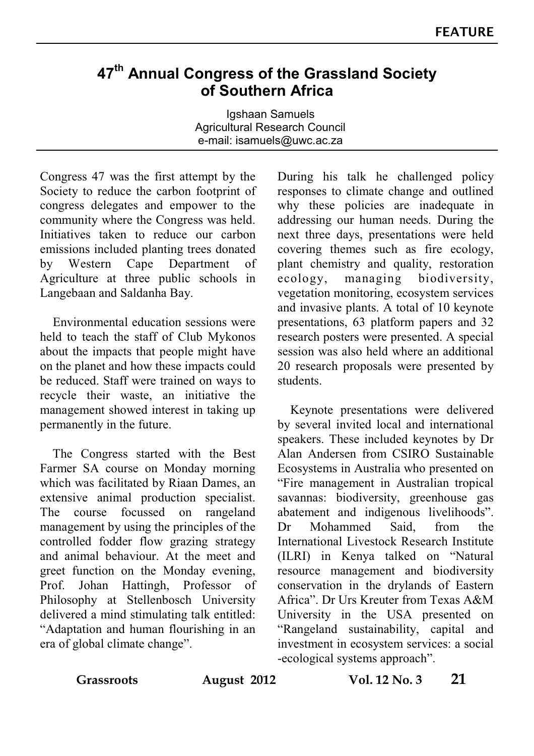## **47th Annual Congress of the Grassland Society of Southern Africa**

Igshaan Samuels Agricultural Research Council e-mail: isamuels@uwc.ac.za

Congress 47 was the first attempt by the Society to reduce the carbon footprint of congress delegates and empower to the community where the Congress was held. Initiatives taken to reduce our carbon emissions included planting trees donated by Western Cape Department of Agriculture at three public schools in Langebaan and Saldanha Bay.

 Environmental education sessions were held to teach the staff of Club Mykonos about the impacts that people might have on the planet and how these impacts could be reduced. Staff were trained on ways to recycle their waste, an initiative the management showed interest in taking up permanently in the future.

 The Congress started with the Best Farmer SA course on Monday morning which was facilitated by Riaan Dames, an extensive animal production specialist. The course focussed on rangeland management by using the principles of the controlled fodder flow grazing strategy and animal behaviour. At the meet and greet function on the Monday evening, Prof. Johan Hattingh, Professor of Philosophy at Stellenbosch University delivered a mind stimulating talk entitled: "Adaptation and human flourishing in an era of global climate change".

During his talk he challenged policy responses to climate change and outlined why these policies are inadequate in addressing our human needs. During the next three days, presentations were held covering themes such as fire ecology, plant chemistry and quality, restoration ecology, managing biodiversity, vegetation monitoring, ecosystem services and invasive plants. A total of 10 keynote presentations, 63 platform papers and 32 research posters were presented. A special session was also held where an additional 20 research proposals were presented by students.

 Keynote presentations were delivered by several invited local and international speakers. These included keynotes by Dr Alan Andersen from CSIRO Sustainable Ecosystems in Australia who presented on "Fire management in Australian tropical savannas: biodiversity, greenhouse gas abatement and indigenous livelihoods". Dr Mohammed Said, from the International Livestock Research Institute (ILRI) in Kenya talked on "Natural resource management and biodiversity conservation in the drylands of Eastern Africa". Dr Urs Kreuter from Texas A&M University in the USA presented on "Rangeland sustainability, capital and investment in ecosystem services: a social -ecological systems approach".

**Grassroots August 2012 Vol. 12 No. 3 21**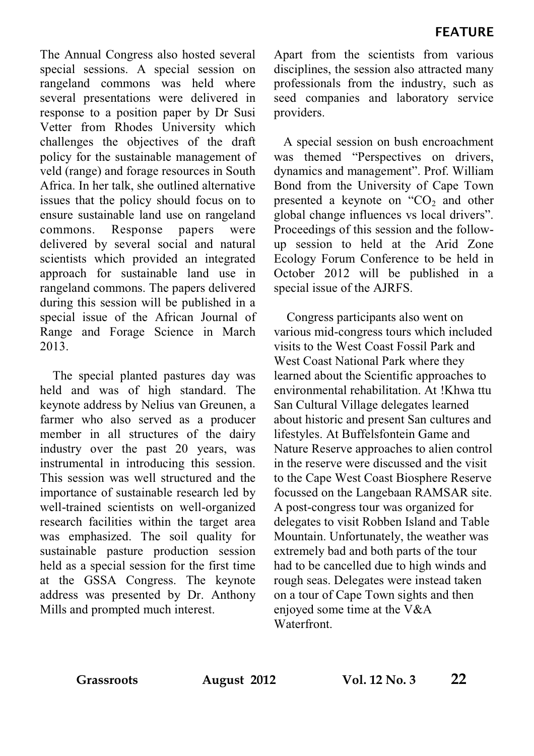The Annual Congress also hosted several special sessions. A special session on rangeland commons was held where several presentations were delivered in response to a position paper by Dr Susi Vetter from Rhodes University which challenges the objectives of the draft policy for the sustainable management of veld (range) and forage resources in South Africa. In her talk, she outlined alternative issues that the policy should focus on to ensure sustainable land use on rangeland<br>commons. Response papers were commons. Response papers were delivered by several social and natural scientists which provided an integrated approach for sustainable land use in rangeland commons. The papers delivered during this session will be published in a special issue of the African Journal of Range and Forage Science in March 2013.

 The special planted pastures day was held and was of high standard. The keynote address by Nelius van Greunen, a farmer who also served as a producer member in all structures of the dairy industry over the past 20 years, was instrumental in introducing this session. This session was well structured and the importance of sustainable research led by well-trained scientists on well-organized research facilities within the target area was emphasized. The soil quality for sustainable pasture production session held as a special session for the first time at the GSSA Congress. The keynote address was presented by Dr. Anthony Mills and prompted much interest.

Apart from the scientists from various disciplines, the session also attracted many professionals from the industry, such as seed companies and laboratory service providers.

 A special session on bush encroachment was themed "Perspectives on drivers, dynamics and management". Prof. William Bond from the University of Cape Town presented a keynote on " $CO<sub>2</sub>$  and other global change influences vs local drivers". Proceedings of this session and the followup session to held at the Arid Zone Ecology Forum Conference to be held in October 2012 will be published in a special issue of the AJRFS.

 Congress participants also went on various mid-congress tours which included visits to the West Coast Fossil Park and West Coast National Park where they learned about the Scientific approaches to environmental rehabilitation. At !Khwa ttu San Cultural Village delegates learned about historic and present San cultures and lifestyles. At Buffelsfontein Game and Nature Reserve approaches to alien control in the reserve were discussed and the visit to the Cape West Coast Biosphere Reserve focussed on the Langebaan RAMSAR site. A post-congress tour was organized for delegates to visit Robben Island and Table Mountain. Unfortunately, the weather was extremely bad and both parts of the tour had to be cancelled due to high winds and rough seas. Delegates were instead taken on a tour of Cape Town sights and then enjoyed some time at the  $V&A$ **Waterfront**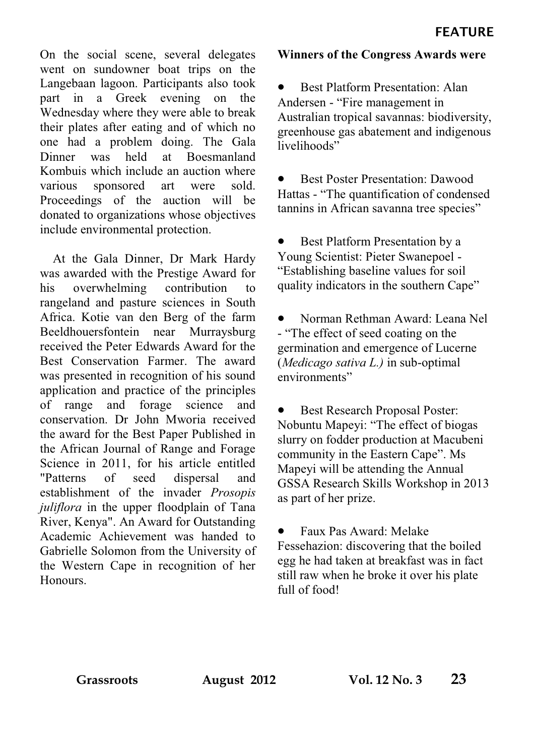On the social scene, several delegates went on sundowner boat trips on the Langebaan lagoon. Participants also took part in a Greek evening on the Wednesday where they were able to break their plates after eating and of which no one had a problem doing. The Gala Dinner was held at Boesmanland Kombuis which include an auction where various sponsored art were sold. Proceedings of the auction will be donated to organizations whose objectives include environmental protection.

 At the Gala Dinner, Dr Mark Hardy was awarded with the Prestige Award for his overwhelming contribution to rangeland and pasture sciences in South Africa. Kotie van den Berg of the farm Beeldhouersfontein near Murraysburg received the Peter Edwards Award for the Best Conservation Farmer. The award was presented in recognition of his sound application and practice of the principles of range and forage science and conservation. Dr John Mworia received the award for the Best Paper Published in the African Journal of Range and Forage Science in 2011, for his article entitled "Patterns of seed dispersal and establishment of the invader *Prosopis juliflora* in the upper floodplain of Tana River, Kenya". An Award for Outstanding Academic Achievement was handed to Gabrielle Solomon from the University of the Western Cape in recognition of her Honours.

## **Winners of the Congress Awards were**

• Best Platform Presentation: Alan Andersen - "Fire management in Australian tropical savannas: biodiversity, greenhouse gas abatement and indigenous livelihoods"

Best Poster Presentation: Dawood Hattas - "The quantification of condensed tannins in African savanna tree species"

Best Platform Presentation by a Young Scientist: Pieter Swanepoel - "Establishing baseline values for soil quality indicators in the southern Cape"

• Norman Rethman Award: Leana Nel - "The effect of seed coating on the germination and emergence of Lucerne (*Medicago sativa L.)* in sub-optimal environments"

• Best Research Proposal Poster: Nobuntu Mapeyi: "The effect of biogas slurry on fodder production at Macubeni community in the Eastern Cape". Ms Mapeyi will be attending the Annual GSSA Research Skills Workshop in 2013 as part of her prize.

• Faux Pas Award: Melake Fessehazion: discovering that the boiled egg he had taken at breakfast was in fact still raw when he broke it over his plate full of food!